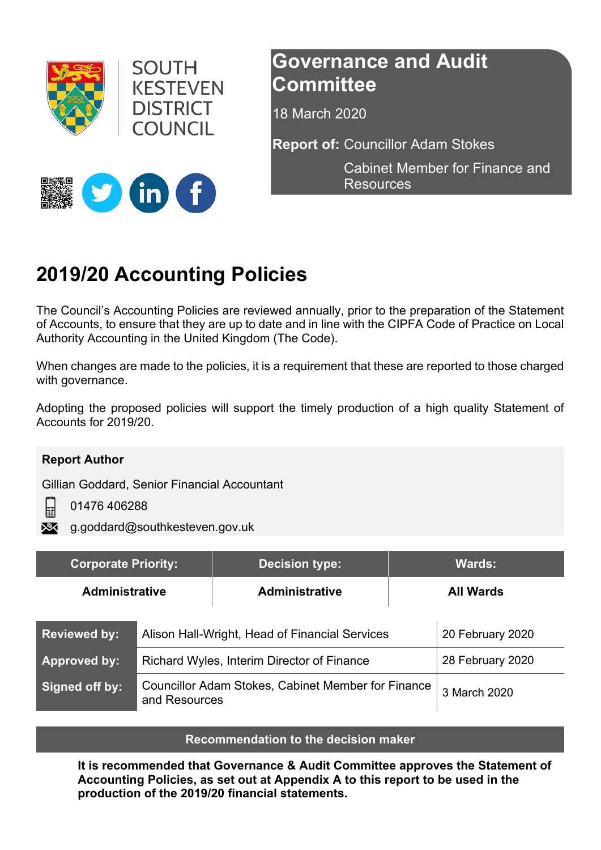



## **Governance and Audit Committee**

18 March 2020

**Report of:** Councillor Adam Stokes

Cabinet Member for Finance and **Resources** 



# **2019/20 Accounting Policies**

The Council's Accounting Policies are reviewed annually, prior to the preparation of the Statement of Accounts, to ensure that they are up to date and in line with the CIPFA Code of Practice on Local Authority Accounting in the United Kingdom (The Code).

When changes are made to the policies, it is a requirement that these are reported to those charged with governance.

Adopting the proposed policies will support the timely production of a high quality Statement of Accounts for 2019/20.

#### **Report Author**

冒

Gillian Goddard, Senior Financial Accountant

01476 406288

g.goddard@southkesteven.gov.uk

| <b>Corporate Priority:</b> |                                                                            | <b>Decision type:</b> |                  | <b>Wards:</b>    |
|----------------------------|----------------------------------------------------------------------------|-----------------------|------------------|------------------|
| <b>Administrative</b>      |                                                                            | <b>Administrative</b> | <b>All Wards</b> |                  |
| <b>Reviewed by:</b>        | Alison Hall-Wright, Head of Financial Services                             |                       |                  | 20 February 2020 |
| <b>Approved by:</b>        | Richard Wyles, Interim Director of Finance                                 |                       |                  | 28 February 2020 |
| Signed off by:             | <b>Councillor Adam Stokes, Cabinet Member for Finance</b><br>and Resources |                       | 3 March 2020     |                  |

#### **Recommendation to the decision maker**

**It is recommended that Governance & Audit Committee approves the Statement of Accounting Policies, as set out at Appendix A to this report to be used in the production of the 2019/20 financial statements.**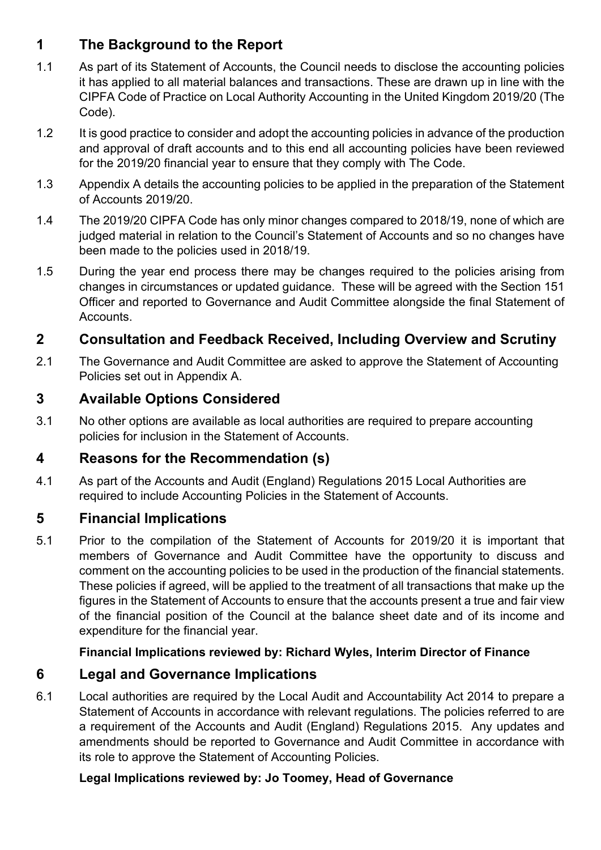## **1 The Background to the Report**

- 1.1 As part of its Statement of Accounts, the Council needs to disclose the accounting policies it has applied to all material balances and transactions. These are drawn up in line with the CIPFA Code of Practice on Local Authority Accounting in the United Kingdom 2019/20 (The Code).
- 1.2 It is good practice to consider and adopt the accounting policies in advance of the production and approval of draft accounts and to this end all accounting policies have been reviewed for the 2019/20 financial year to ensure that they comply with The Code.
- 1.3 Appendix A details the accounting policies to be applied in the preparation of the Statement of Accounts 2019/20.
- 1.4 The 2019/20 CIPFA Code has only minor changes compared to 2018/19, none of which are judged material in relation to the Council's Statement of Accounts and so no changes have been made to the policies used in 2018/19.
- 1.5 During the year end process there may be changes required to the policies arising from changes in circumstances or updated guidance. These will be agreed with the Section 151 Officer and reported to Governance and Audit Committee alongside the final Statement of Accounts.

### **2 Consultation and Feedback Received, Including Overview and Scrutiny**

2.1 The Governance and Audit Committee are asked to approve the Statement of Accounting Policies set out in Appendix A.

## **3 Available Options Considered**

3.1 No other options are available as local authorities are required to prepare accounting policies for inclusion in the Statement of Accounts.

#### **4 Reasons for the Recommendation (s)**

4.1 As part of the Accounts and Audit (England) Regulations 2015 Local Authorities are required to include Accounting Policies in the Statement of Accounts.

## **5 Financial Implications**

5.1 Prior to the compilation of the Statement of Accounts for 2019/20 it is important that members of Governance and Audit Committee have the opportunity to discuss and comment on the accounting policies to be used in the production of the financial statements. These policies if agreed, will be applied to the treatment of all transactions that make up the figures in the Statement of Accounts to ensure that the accounts present a true and fair view of the financial position of the Council at the balance sheet date and of its income and expenditure for the financial year.

#### **Financial Implications reviewed by: Richard Wyles, Interim Director of Finance**

#### **6 Legal and Governance Implications**

6.1 Local authorities are required by the Local Audit and Accountability Act 2014 to prepare a Statement of Accounts in accordance with relevant regulations. The policies referred to are a requirement of the Accounts and Audit (England) Regulations 2015. Any updates and amendments should be reported to Governance and Audit Committee in accordance with its role to approve the Statement of Accounting Policies.

#### **Legal Implications reviewed by: Jo Toomey, Head of Governance**